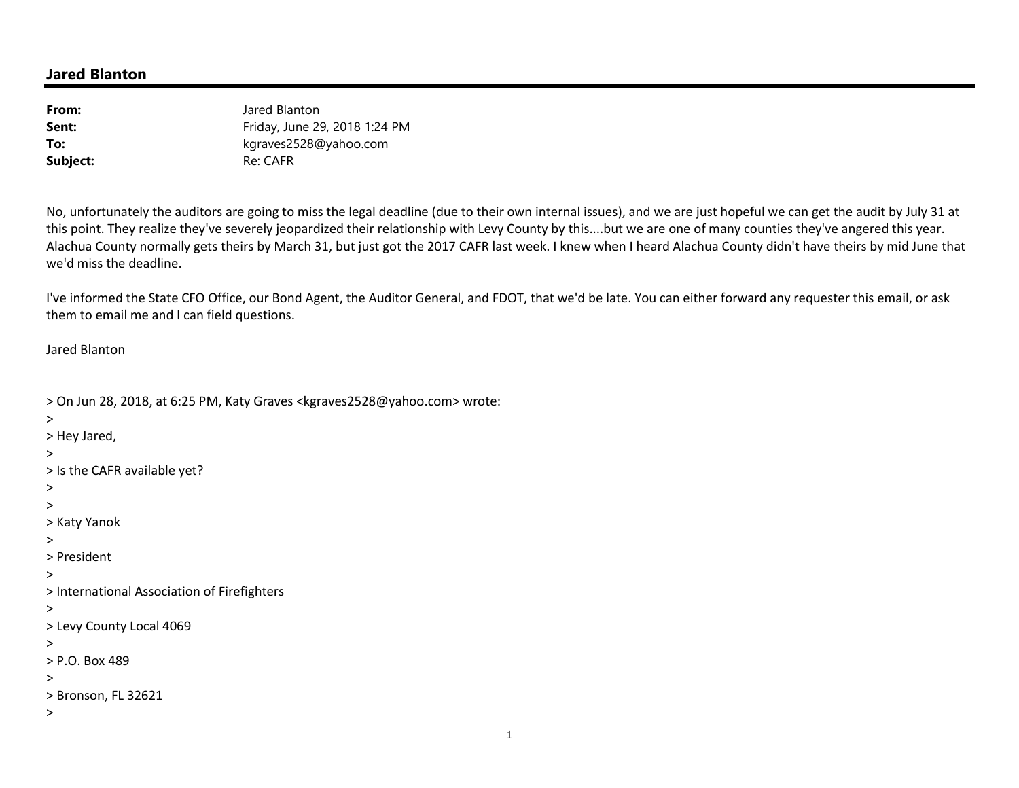## **Jared Blanton**

| From:    | Jared Blanton                 |
|----------|-------------------------------|
| Sent:    | Friday, June 29, 2018 1:24 PM |
| To:      | kgraves2528@yahoo.com         |
| Subject: | Re: CAFR                      |

No, unfortunately the auditors are going to miss the legal deadline (due to their own internal issues), and we are just hopeful we can get the audit by July 31 at this point. They realize they've severely jeopardized their relationship with Levy County by this....but we are one of many counties they've angered this year. Alachua County normally gets theirs by March 31, but just got the 2017 CAFR last week. I knew when I heard Alachua County didn't have theirs by mid June that we'd miss the deadline.

I've informed the State CFO Office, our Bond Agent, the Auditor General, and FDOT, that we'd be late. You can either forward any requester this email, or ask them to email me and I can field questions.

Jared Blanton

```
> On Jun 28, 2018, at 6:25 PM, Katy Graves <kgraves2528@yahoo.com> wrote: > > Hey Jared, > 
> Is the CAFR available yet? > > > Katy Yanok > > President > > International Association of Firefighters > > Levy County Local 4069 > > P.O. Box 489 > > Bronson, FL 32621 >
```